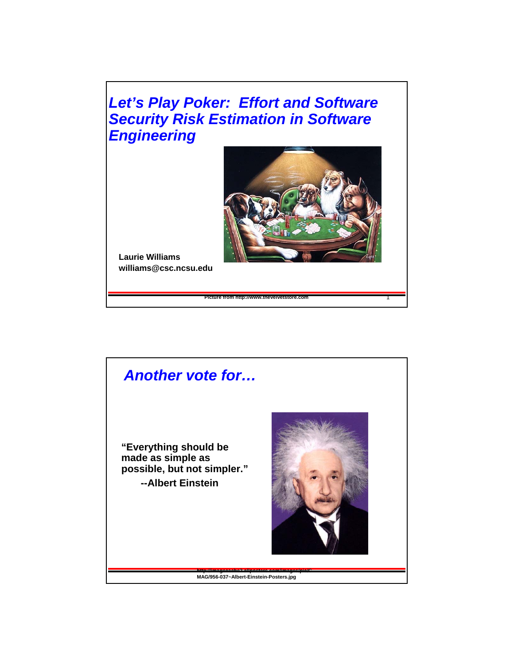

**Picture from http://www.thevelvetstore.com** 1



**Laurie Williams williams@csc.ncsu.edu**

### *Another vote for…*

**"Everything should be made as simple as possible, but not simpler." --Albert Einstein**



**http://imagecache2.allposters.com/images/pic/C MAG/956-037~Albert-Einstein-Posters.jpg**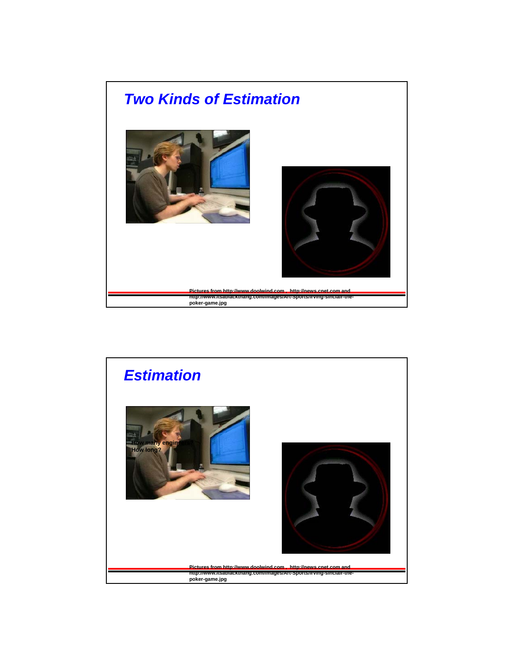

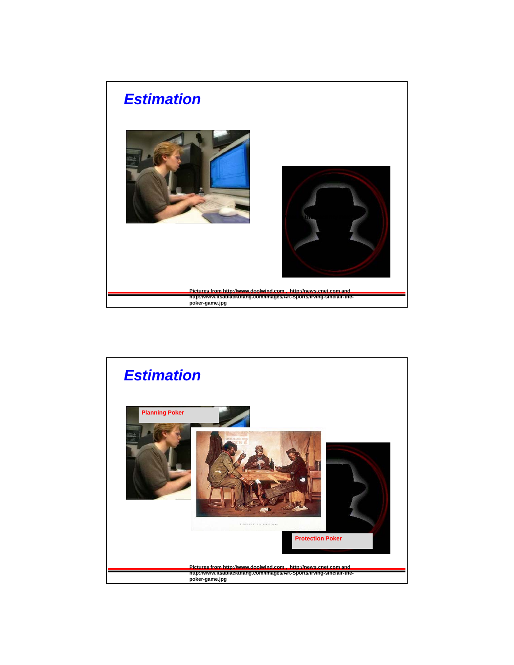

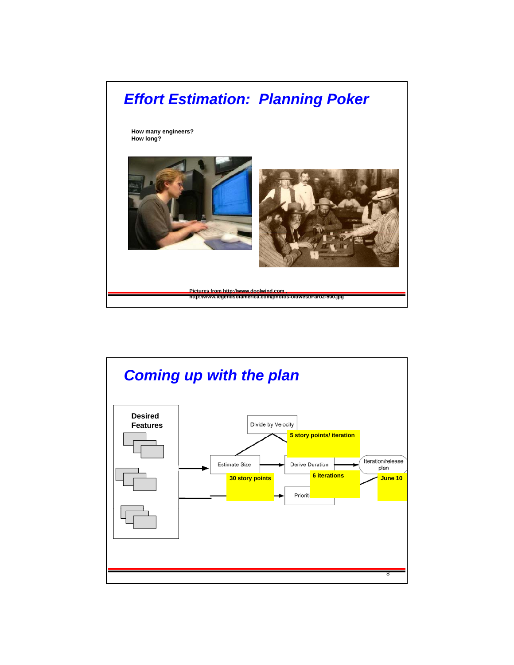

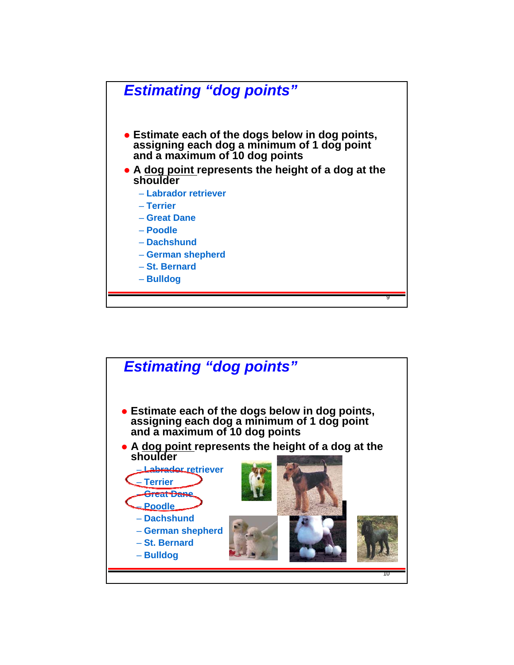

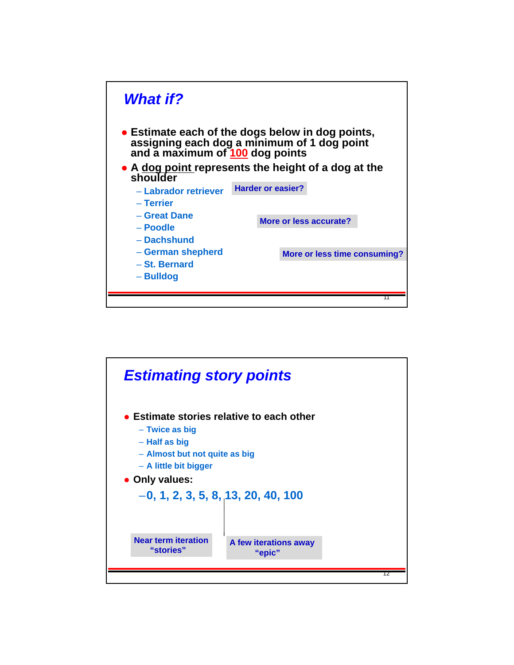

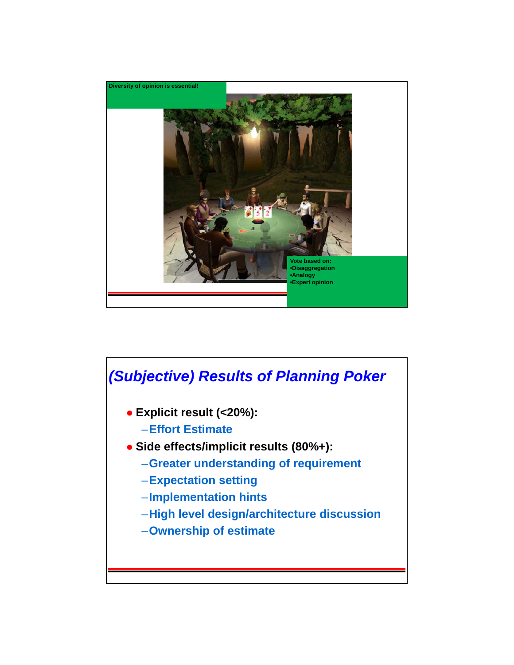

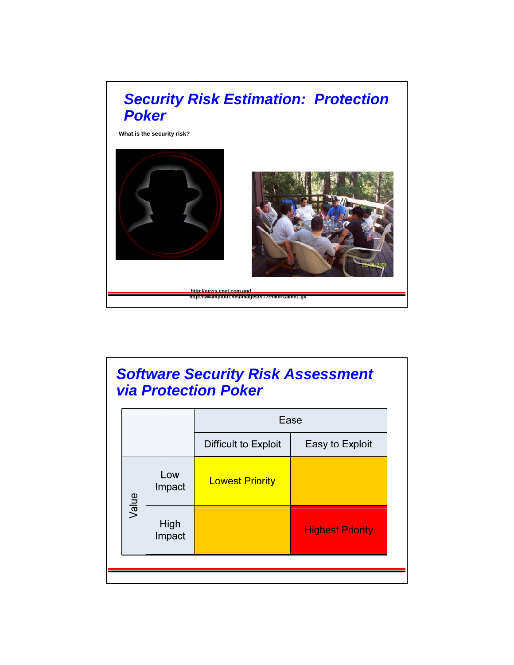

# *Software Security Risk Assessment via Protection Poker*

|       |                | Ease                   |                         |  |
|-------|----------------|------------------------|-------------------------|--|
|       |                | Difficult to Exploit   | Easy to Exploit         |  |
| Value | Low<br>Impact  | <b>Lowest Priority</b> |                         |  |
|       | High<br>Impact |                        | <b>Highest Priority</b> |  |
|       |                |                        |                         |  |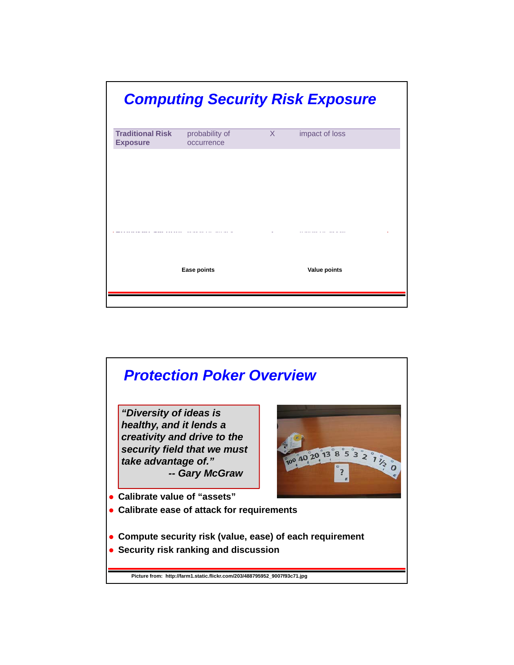

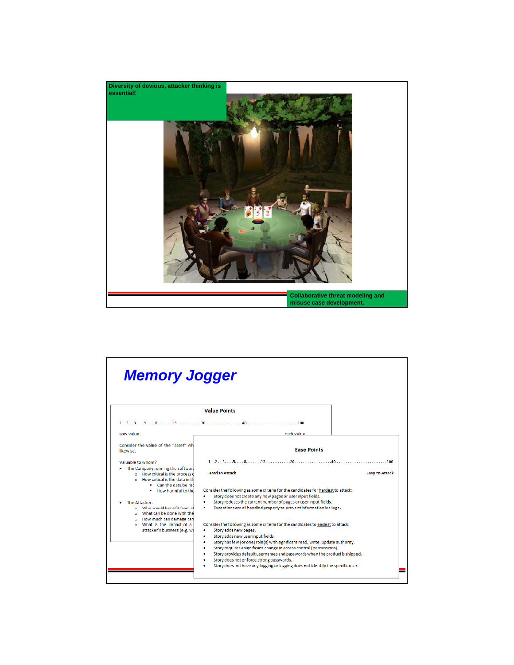

| <b>Memory Jogger</b>                                                                                                                                       |                                                                                                                                                                                                                                                                                                                                                                                                                                                                                                                            |                       |  |  |
|------------------------------------------------------------------------------------------------------------------------------------------------------------|----------------------------------------------------------------------------------------------------------------------------------------------------------------------------------------------------------------------------------------------------------------------------------------------------------------------------------------------------------------------------------------------------------------------------------------------------------------------------------------------------------------------------|-----------------------|--|--|
|                                                                                                                                                            | <b>Value Points</b>                                                                                                                                                                                                                                                                                                                                                                                                                                                                                                        |                       |  |  |
|                                                                                                                                                            | $12355813131201040100$                                                                                                                                                                                                                                                                                                                                                                                                                                                                                                     |                       |  |  |
| <b>Tow Value</b>                                                                                                                                           | <b>High Value</b>                                                                                                                                                                                                                                                                                                                                                                                                                                                                                                          |                       |  |  |
| Consider the value of the "asset" wh<br>likewise.                                                                                                          | <b>Fase Points</b>                                                                                                                                                                                                                                                                                                                                                                                                                                                                                                         |                       |  |  |
| Valuable to whom?<br>The Company running the software<br>o How critical is the process o<br>$\circ$ How critical is the data in the<br>Can the data be red | $1 \ldots 2 \ldots 3 \ldots 5 \ldots 8 \ldots 13 \ldots 13 \ldots 10 \ldots 20 \ldots 10 \ldots 40 \ldots 4 \ldots 10 \ldots 100$<br><b>Hard to Attack</b>                                                                                                                                                                                                                                                                                                                                                                 | <b>Easy to Attack</b> |  |  |
| How harmful to the<br>The Attacker:<br>o Who would benefit from at<br>o What can be done with the                                                          | Consider the following as some criteria for the candidates for hardest to attack:<br>Story does not create any new pages or user input fields.<br>Story reduces the current number of pages or user input fields.<br>Exceptions are all handled properly to prevent information leakage.                                                                                                                                                                                                                                   |                       |  |  |
| o How much can damage can<br>o What is the impact of a<br>attacker's business (e.g. wo                                                                     | Consider the following as some criteria for the candidates to easiest to attack:<br>Story adds new pages.<br>Story adds new user input fields<br>٠<br>Story has few (or one) role(s) with significant read, write, update authority.<br>Story requires a significant change in access control (permissions).<br>Story provides default usernames and passwords when the product is shipped.<br>Story does not enforce strong passwords.<br>Story does not have any logging or logging does not identify the specific user. |                       |  |  |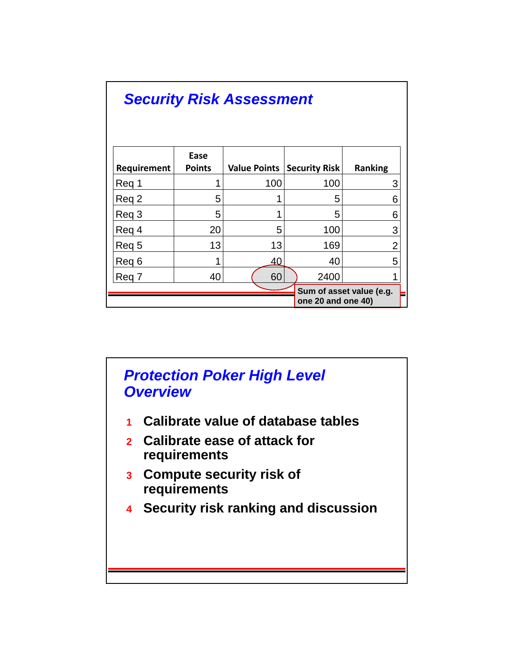| <b>Security Risk Assessment</b> |                       |                          |  |                      |                |  |  |  |
|---------------------------------|-----------------------|--------------------------|--|----------------------|----------------|--|--|--|
| Requirement                     | Ease<br><b>Points</b> | Value Points             |  | <b>Security Risk</b> | <b>Ranking</b> |  |  |  |
| Reg 1                           |                       | 100                      |  | 100                  | 3              |  |  |  |
| Req 2                           | 5                     |                          |  | 5                    | 6              |  |  |  |
| Reg 3                           | 5                     |                          |  | 5                    | 6              |  |  |  |
| Reg 4                           | 20                    | 5                        |  | 100                  | 3              |  |  |  |
| Reg 5                           | 13                    | 13                       |  | 169                  | $\overline{2}$ |  |  |  |
| Reg 6                           | 4                     | 40                       |  | 40                   | 5              |  |  |  |
| Reg 7                           | 40                    | 60                       |  | 2400                 |                |  |  |  |
|                                 | one 20 and one 40)    | Sum of asset value (e.g. |  |                      |                |  |  |  |

## *Protection Poker High Level Overview*

- **1 Calibrate value of database tables**
- **2 Calibrate ease of attack for requirements**
- **3 Compute security risk of requirements**
- **4 Security risk ranking and discussion**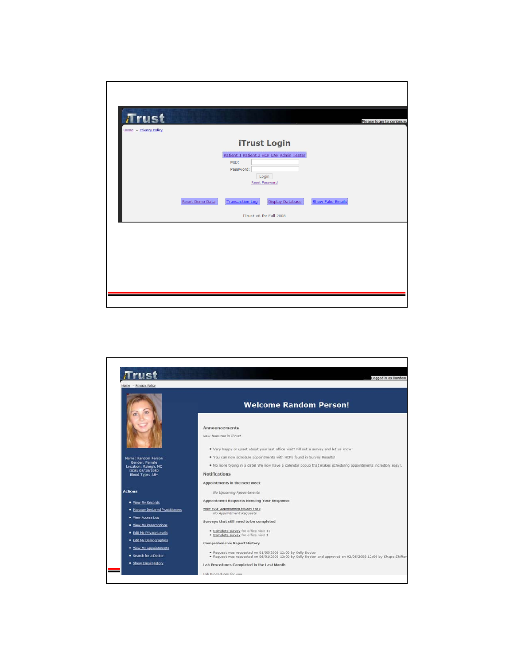| <b>Trust</b>          |                 |                                                   |                                                                            |                         | Please login to continue. |
|-----------------------|-----------------|---------------------------------------------------|----------------------------------------------------------------------------|-------------------------|---------------------------|
| Home - Privacy Policy |                 |                                                   | <b>iTrust Login</b>                                                        |                         |                           |
|                       |                 | MID:<br>Password:                                 | Patient 1 Patient 2 HCP UAP Admin Tester<br>Login<br><b>Reset Password</b> |                         |                           |
|                       | Reset Demo Data | <b>Transaction Log</b><br>iTrust v6 for Fall 2008 | Display Database                                                           | <b>Show Fake Emails</b> |                           |
|                       |                 |                                                   |                                                                            |                         |                           |
|                       |                 |                                                   |                                                                            |                         |                           |
|                       |                 |                                                   |                                                                            |                         |                           |

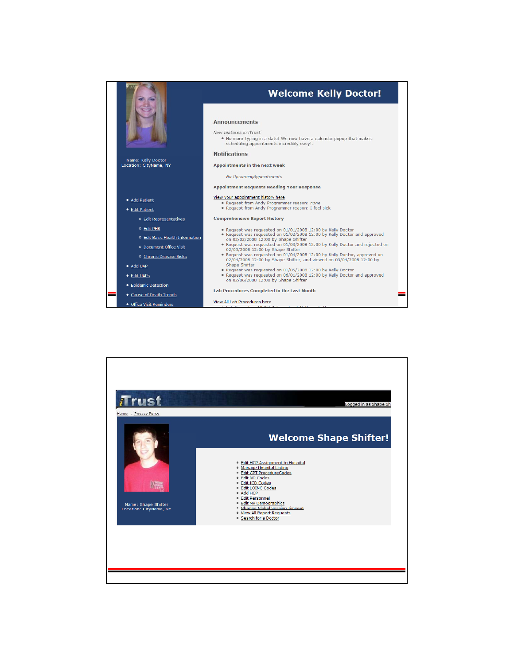

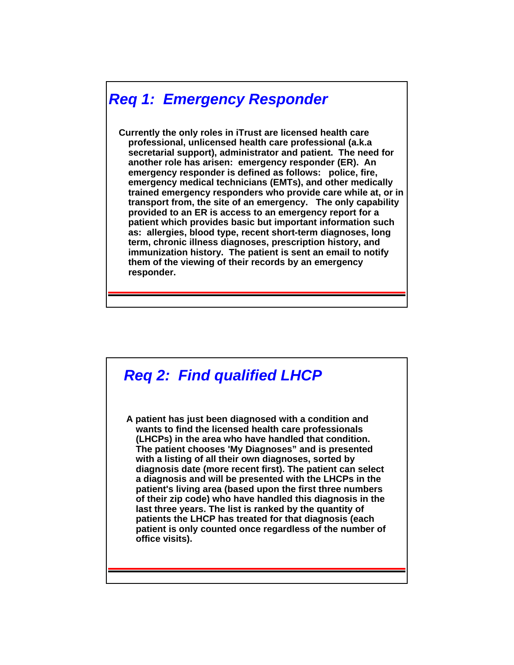### *Req 1: Emergency Responder*

**Currently the only roles in iTrust are licensed health care professional, unlicensed health care professional (a.k.a**  secretarial support), administrator and patient. The need for **another role has arisen: emergency responder (ER). An emergency responder is defined as follows: police, fire, emergency medical technicians (EMTs), and other medically trained emergency responders who provide care while at, or in transport from, the site of an emergency. The only capability provided to an ER is access to an emergency report for a patient which provides basic but important information such as:** allergies, blood type, recent short-term diagnoses, long **term, chronic illness diagnoses, prescription history, and immunization history. The patient is sent an email to notify them of the viewing of their records by an emergency responder.**

# *Req 2: Find qualified LHCP*

**A patient has just been diagnosed with a condition and wants to find the licensed health care professionals (LHCPs) in the area who have handled that condition. The patient chooses 'My Diagnoses" and is presented with a listing of all their own diagnoses, sorted by diagnosis date (more recent first). The patient can select a diagnosis and will be presented with the LHCPs in the patient's living area (based upon the first three numbers of their zip code) who have handled this diagnosis in the last three years The list is ranked by the quantity of last three years. The list is ranked by the quantity patients the LHCP has treated for that diagnosis (each patient is only counted once regardless of the number of office visits).**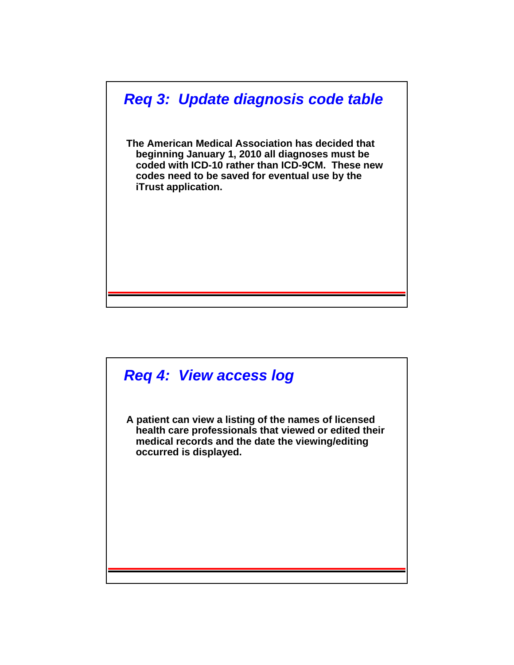

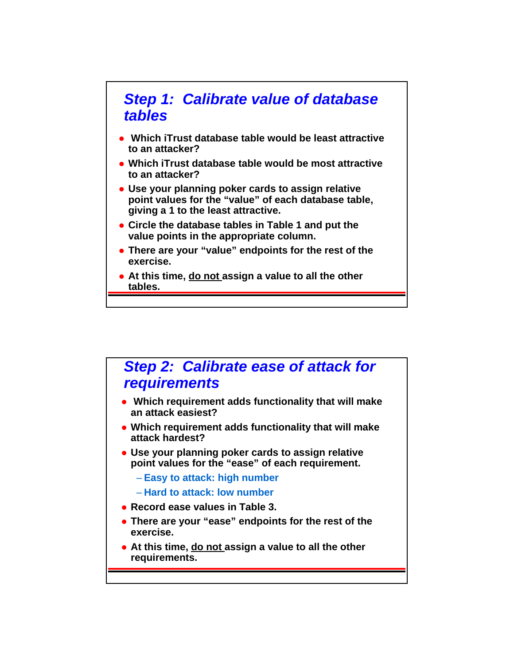

- **Which iTrust database table would be least attractive to an attacker?**
- **Which iTrust database table would be most attractive to an attacker?**
- **Use your planning poker cards to assign relative point values for the "value" of each database table, giving a 1 to the least attractive.**
- **Circle the database tables in Table 1 and put the value points in the appropriate column.**
- **There are your "value" endpoints for the rest of the exercise.**
- **At this time, do not assign a value to all the other tables.**

#### *Step 2: Calibrate ease of attack for requirements*

- **Which requirement adds functionality that will make an attack easiest?**
- **Which requirement adds functionality that will make attack hardest?**
- **Use your planning poker cards to assign relative point values for the "ease" of each requirement.** 
	- **Easy to attack: high number**
	- **Hard to attack: low number**
- **Record ease values in Table 3 Record ease values in Table 3.**
- **There are your "ease" endpoints for the rest of the exercise.**
- **At this time, do not assign a value to all the other requirements.**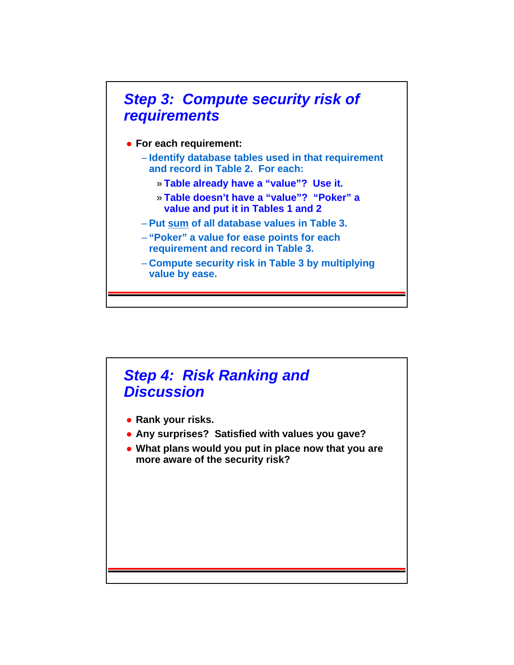

#### *Step 4: Risk Ranking and Discussion*

- **Rank your risks.**
- **Any surprises? Satisfied with values you gave?**
- **What plans would you put in place now that you are more aware of the security risk?**